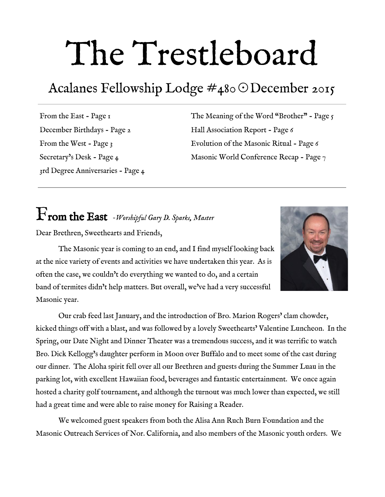# The Trestleboard

# Acalanes Fellowship Lodge #480☉December 2015

From the East - Page 1 December Birthdays - Page 2 From the West - Page  $3$ Secretary's Desk - Page 4 3rd Degree Anniversaries - Page 4 The Meaning of the Word "Brother" - Page  $\zeta$ Hall Association Report - Page 6 Evolution of the Masonic Ritual - Page 6 Masonic World Conference Recap - Page  $_7$ 

# From the East *Worshipful Gary D. Sparks, Master*

Dear Brethren, Sweethearts and Friends,



The Masonic year is coming to an end, and I find myself looking back at the nice variety of events and activities we have undertaken this year. As is often the case, we couldn't do everything we wanted to do, and a certain band of termites didn't help matters. But overall, we've had a very successful Masonic year.

Our crab feed last January, and the introduction of Bro. Marion Rogers' clam chowder, kicked things off with a blast, and was followed by a lovely Sweethearts' Valentine Luncheon. In the Spring, our Date Night and Dinner Theater was a tremendous success, and it was terrific to watch Bro. Dick Kellogg's daughter perform in Moon over Buffalo and to meet some of the cast during our dinner. The Aloha spirit fell over all our Brethren and guests during the Summer Luau in the parking lot, with excellent Hawaiian food, beverages and fantastic entertainment. We once again hosted a charity golf tournament, and although the turnout was much lower than expected, we still had a great time and were able to raise money for Raising a Reader.

We welcomed guest speakers from both the Alisa Ann Ruch Burn Foundation and the Masonic Outreach Services of Nor. California, and also members of the Masonic youth orders. We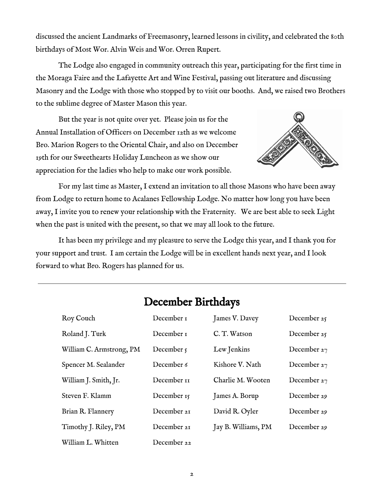discussed the ancient Landmarks of Freemasonry, learned lessons in civility, and celebrated the 80th birthdays of Most Wor. Alvin Weis and Wor. Orren Rupert.

The Lodge also engaged in community outreach this year, participating for the first time in the Moraga Faire and the Lafayette Art and Wine Festival, passing out literature and discussing Masonry and the Lodge with those who stopped by to visit our booths. And, we raised two Brothers to the sublime degree of Master Mason this year.

But the year is not quite over yet. Please join us for the Annual Installation of Officers on December 12th as we welcome Bro. Marion Rogers to the Oriental Chair, and also on December 19th for our Sweethearts Holiday Luncheon as we show our appreciation for the ladies who help to make our work possible.



For my last time as Master, I extend an invitation to all those Masons who have been away from Lodge to return home to Acalanes Fellowship Lodge. No matter how long you have been away, I invite you to renew your relationship with the Fraternity. We are best able to seek Light when the past is united with the present, so that we may all look to the future.

It has been my privilege and my pleasure to serve the Lodge this year, and I thank you for your support and trust. I am certain the Lodge will be in excellent hands next year, and I look forward to what Bro. Rogers has planned for us.

| Roy Couch                | December <sub>1</sub> | James V. Davey      | December 25 |
|--------------------------|-----------------------|---------------------|-------------|
| Roland J. Turk           | December <sub>1</sub> | C.T. Watson         | December 25 |
| William C. Armstrong, PM | December $\zeta$      | Lew Jenkins         | December 27 |
| Spencer M. Sealander     | December 6            | Kishore V. Nath     | December 27 |
| William J. Smith, Jr.    | December 11           | Charlie M. Wooten   | December 27 |
| Steven F. Klamm          | December 15           | James A. Borup      | December 29 |
| Brian R. Flannery        | December 21           | David R. Oyler      | December 29 |
| Timothy J. Riley, PM     | December 21           | Jay B. Williams, PM | December 29 |
| William L. Whitten       | December 22           |                     |             |

# December Birthdays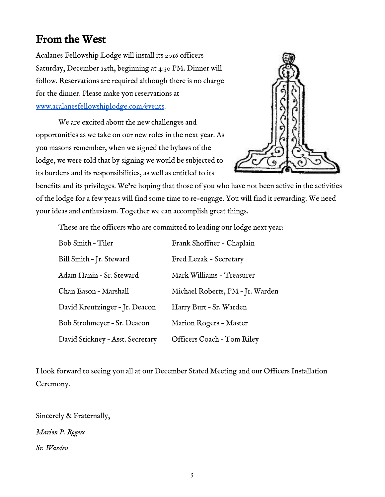# From the West

Acalanes Fellowship Lodge will install its 2016 officers Saturday, December 12th, beginning at 4:30 PM. Dinner will follow. Reservations are required although there is no charge for the dinner. Please make you reservations at [www.acalanesfellowshiplodge.com/events.](http://www.acalanesfellowshiplodge.com/events)

We are excited about the new challenges and opportunities as we take on our new roles in the next year. As you masons remember, when we signed the bylaws of the lodge, we were told that by signing we would be subjected to its burdens and its responsibilities, as well as entitled to its



benefits and its privileges. We're hoping that those of you who have not been active in the activities of the lodge for a few years will find some time to re-engage. You will find it rewarding. We need your ideas and enthusiasm. Together we can accomplish great things.

These are the officers who are committed to leading our lodge next year:

| Bob Smith - Tiler                | Frank Shoffner - Chaplain        |
|----------------------------------|----------------------------------|
| Bill Smith - Jr. Steward         | Fred Lezak - Secretary           |
| Adam Hanin - Sr. Steward         | Mark Williams - Treasurer        |
| Chan Eason - Marshall            | Michael Roberts, PM - Jr. Warden |
| David Kreutzinger - Jr. Deacon   | Harry Burt - Sr. Warden          |
| Bob Strohmeyer - Sr. Deacon      | Marion Rogers - Master           |
| David Stickney - Asst. Secretary | Officers Coach - Tom Riley       |

I look forward to seeing you all at our December Stated Meeting and our Officers Installation Ceremony.

Sincerely & Fraternally, *Marion P. Rogers Sr. Warden*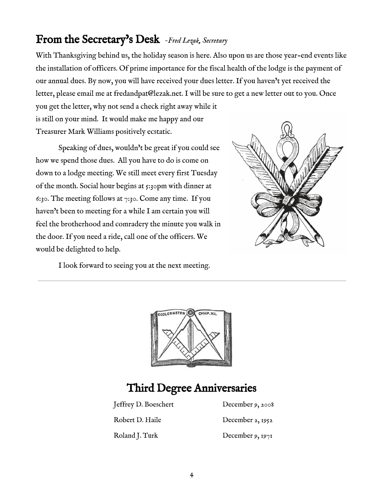# From the Secretary's Desk *Fred Lezak, Secretary*

With Thanksgiving behind us, the holiday season is here. Also upon us are those year-end events like the installation of officers. Of prime importance for the fiscal health of the lodge is the payment of our annual dues. By now, you will have received your dues letter. If you haven't yet received the letter, please email me at fredandpat@lezak.net. I will be sure to get a new letter out to you. Once you get the letter, why not send a check right away while it

is still on your mind. It would make me happy and our Treasurer Mark Williams positively ecstatic.

Speaking of dues, wouldn't be great if you could see how we spend those dues. All you have to do is come on down to a lodge meeting. We still meet every first Tuesday of the month. Social hour begins at 5:30pm with dinner at 6:30. The meeting follows at  $7:30$ . Come any time. If you haven't been to meeting for a while I am certain you will feel the brotherhood and comradery the minute you walk in the door. If you need a ride, call one of the officers. We would be delighted to help.



I look forward to seeing you at the next meeting.



# Third Degree Anniversaries

Jeffrey D. Boeschert December 9, 2008

Robert D. Haile December 2, 1952

Roland J. Turk December 9, 1971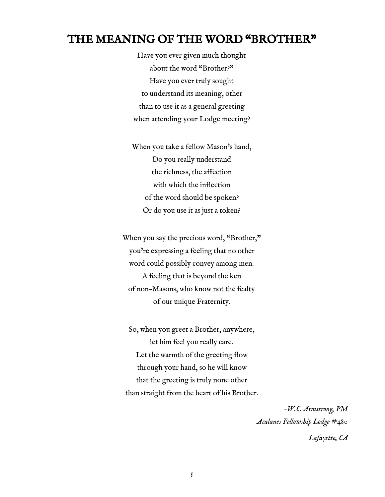#### THE MEANING OF THE WORD "BROTHER"

Have you ever given much thought about the word "Brother?" Have you ever truly sought to understand its meaning, other than to use it as a general greeting when attending your Lodge meeting?

When you take a fellow Mason's hand, Do you really understand the richness, the affection with which the inflection of the word should be spoken? Or do you use it as just a token?

When you say the precious word, "Brother," you're expressing a feeling that no other word could possibly convey among men. A feeling that is beyond the ken of non-Masons, who know not the fealty of our unique Fraternity.

So, when you greet a Brother, anywhere, let him feel you really care. Let the warmth of the greeting flow through your hand, so he will know that the greeting is truly none other than straight from the heart of his Brother.

> *W.C. Armstrong, PM Acalanes Fellowship Lodge #480 Lafayette, CA*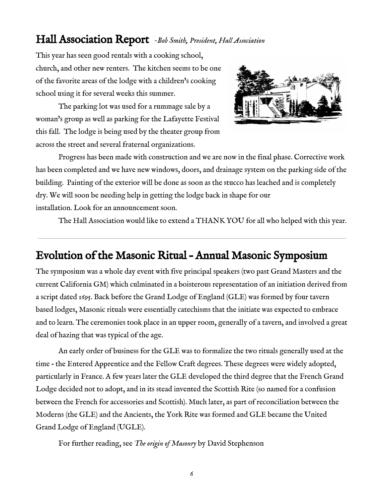### Hall Association Report *Bob Smith, President, Hall Association*

This year has seen good rentals with a cooking school, church, and other new renters. The kitchen seems to be one of the favorite areas of the lodge with a children's cooking school using it for several weeks this summer.

The parking lot was used for a rummage sale by a woman's group as well as parking for the Lafayette Festival this fall. The lodge is being used by the theater group from across the street and several fraternal organizations.

Progress has been made with construction and we are now in the final phase. Corrective work has been completed and we have new windows, doors, and drainage system on the parking side of the building. Painting of the exterior will be done as soon as the stucco has leached and is completely dry. We will soon be needing help in getting the lodge back in shape for our installation. Look for an announcement soon.

The Hall Association would like to extend a THANK YOU for all who helped with this year.

# Evolution of the Masonic Ritual – Annual Masonic Symposium

The symposium was a whole day event with five principal speakers (two past Grand Masters and the current California GM) which culminated in a boisterous representation of an initiation derived from a script dated 1695. Back before the Grand Lodge of England (GLE) was formed by four tavern based lodges, Masonic rituals were essentially catechisms that the initiate was expected to embrace and to learn. The ceremonies took place in an upper room, generally of a tavern, and involved a great deal of hazing that was typical of the age.

An early order of business for the GLE was to formalize the two rituals generally used at the time – the Entered Apprentice and the Fellow Craft degrees. These degrees were widely adopted, particularly in France. A few years later the GLE developed the third degree that the French Grand Lodge decided not to adopt, and in its stead invented the Scottish Rite (so named for a confusion between the French for accessories and Scottish). Much later, as part of reconciliation between the Moderns (the GLE) and the Ancients, the York Rite was formed and GLE became the United Grand Lodge of England (UGLE).

For further reading, see *The origin of Masonry* by David Stephenson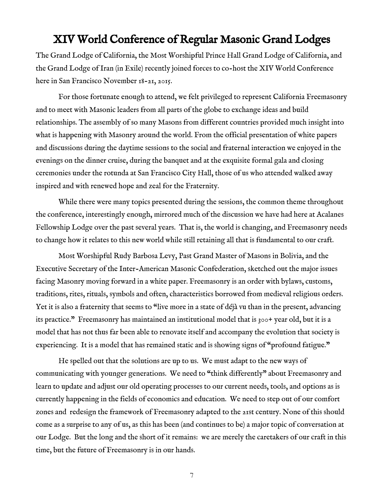#### XIV World Conference of Regular Masonic Grand Lodges

The Grand Lodge of California, the Most Worshipful Prince Hall Grand Lodge of California, and the Grand Lodge of Iran (in Exile) recently joined forces to co-host the XIV World Conference here in San Francisco November 18-21, 2015.

For those fortunate enough to attend, we felt privileged to represent California Freemasonry and to meet with Masonic leaders from all parts of the globe to exchange ideas and build relationships. The assembly of so many Masons from different countries provided much insight into what is happening with Masonry around the world. From the official presentation of white papers and discussions during the daytime sessions to the social and fraternal interaction we enjoyed in the evenings on the dinner cruise, during the banquet and at the exquisite formal gala and closing ceremonies under the rotunda at San Francisco City Hall, those of us who attended walked away inspired and with renewed hope and zeal for the Fraternity.

While there were many topics presented during the sessions, the common theme throughout the conference, interestingly enough, mirrored much of the discussion we have had here at Acalanes Fellowship Lodge over the past several years. That is, the world is changing, and Freemasonry needs to change how it relates to this new world while still retaining all that is fundamental to our craft.

Most Worshipful Rudy Barbosa Levy, Past Grand Master of Masons in Bolivia, and the Executive Secretary of the Inter-American Masonic Confederation, sketched out the major issues facing Masonry moving forward in a white paper. Freemasonry is an order with bylaws, customs, traditions, rites, rituals, symbols and often, characteristics borrowed from medieval religious orders. Yet it is also a fraternity that seems to "live more in a state of déjà vu than in the present, advancing its practice." Freemasonry has maintained an institutional model that is 300+ year old, but it is a model that has not thus far been able to renovate itself and accompany the evolution that society is experiencing. It is a model that has remained static and is showing signs of "profound fatigue."

He spelled out that the solutions are up to us. We must adapt to the new ways of communicating with younger generations. We need to "think differently" about Freemasonry and learn to update and adjust our old operating processes to our current needs, tools, and options as is currently happening in the fields of economics and education. We need to step out of our comfort zones and redesign the framework of Freemasonry adapted to the 21st century. None of this should come as a surprise to any of us, as this has been (and continues to be) a major topic of conversation at our Lodge. But the long and the short of it remains: we are merely the caretakers of our craft in this time, but the future of Freemasonry is in our hands.

7